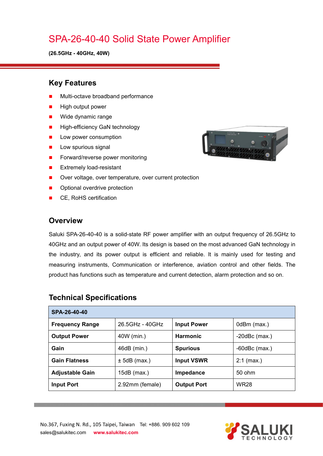# SPA-26-40-40 Solid State Power Amplifier

**(26.5GHz - 40GHz, 40W)**

#### **Key Features**

- Multi-octave broadband performance
- High output power
- **Nide dynamic range**
- **High-efficiency GaN technology**
- **Low power consumption**
- $\blacksquare$  Low spurious signal
- Forward/reverse power monitoring
- **EXtremely load-resistant**
- Over voltage, over temperature, over current protection
- Optional overdrive protection
- CE, RoHS certification

#### **Overview**

Saluki SPA-26-40-40 is a solid-state RF power amplifier with an output frequency of 26.5GHz to 40GHz and an output power of 40W. Its design is based on the most advanced GaN technology in the industry, and its power output is efficient and reliable. It is mainly used for testing and measuring instruments, Communication or interference, aviation control and other fields. The product has functions such as temperature and current detection, alarm protection and so on.

| SPA-26-40-40           |                 |                    |                    |  |  |
|------------------------|-----------------|--------------------|--------------------|--|--|
| <b>Frequency Range</b> | 26.5GHz - 40GHz | <b>Input Power</b> | 0dBm (max.)        |  |  |
| <b>Output Power</b>    | 40W (min.)      | <b>Harmonic</b>    | $-20$ dBc $(max.)$ |  |  |
| Gain                   | 46dB (min.)     | <b>Spurious</b>    | $-60$ dBc $(max.)$ |  |  |
| <b>Gain Flatness</b>   | $± 5dB$ (max.)  | <b>Input VSWR</b>  | $2:1$ (max.)       |  |  |
| <b>Adjustable Gain</b> | 15 $dB$ (max.)  | Impedance          | 50 ohm             |  |  |
| <b>Input Port</b>      | 2.92mm (female) | <b>Output Port</b> | <b>WR28</b>        |  |  |

#### **Technical Specifications**